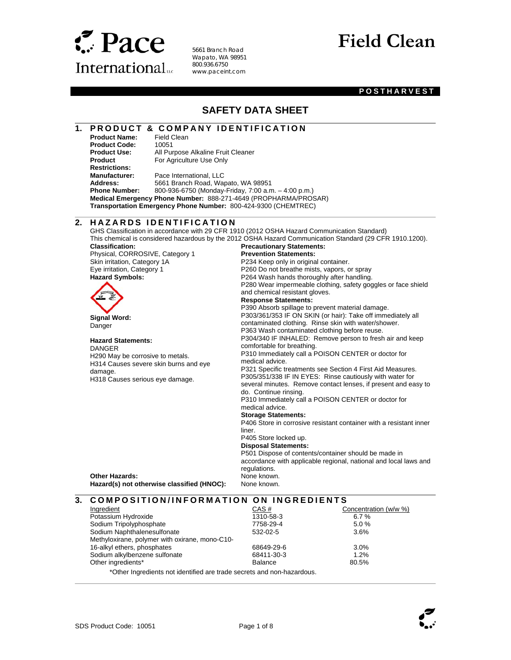

5661 Branch Road Wapato, WA 98951 800.936.6750 www.paceint.com

# **Field Clean**

### **POSTHARVEST**

### **SAFETY DATA SHEET**

## **1. PRODUCT & COMPANY IDENTIFICATION**<br>Product Name: Field Clean

**Product Name: Product Code:** 10051<br>**Product Use:** All Pur **Product Restrictions:** 

l

 $\overline{a}$ 

 $\overline{\phantom{a}}$ 

l

**All Purpose Alkaline Fruit Cleaner** For Agriculture Use Only

**Manufacturer:** Pace International, LLC<br>**Address:** 5661 Branch Road, War **Address:** 5661 Branch Road, Wapato, WA 98951 **Phone Number:** 800-936-6750 (Monday-Friday, 7:00 a.m. – 4:00 p.m.) **Medical Emergency Phone Number:** 888-271-4649 (PROPHARMA/PROSAR) **Transportation Emergency Phone Number:** 800-424-9300 (CHEMTREC)

### **2. H A Z A R D S I D E N T I F I C A T I O N**

GHS Classification in accordance with 29 CFR 1910 (2012 OSHA Hazard Communication Standard) This chemical is considered hazardous by the 2012 OSHA Hazard Communication Standard (29 CFR 1910.1200). **Classification:**  Physical, CORROSIVE, Category 1 Skin irritation, Category 1A Eye irritation, Category 1 **Precautionary Statements: Prevention Statements:**  P234 Keep only in original container. P260 Do not breathe mists, vapors, or spray P264 Wash hands thoroughly after handling. P280 Wear impermeable clothing, safety goggles or face shield and chemical resistant gloves. **Response Statements:**  P390 Absorb spillage to prevent material damage. P303/361/353 IF ON SKIN (or hair): Take off immediately all contaminated clothing. Rinse skin with water/shower. P363 Wash contaminated clothing before reuse. P304/340 IF INHALED: Remove person to fresh air and keep comfortable for breathing. P310 Immediately call a POISON CENTER or doctor for medical advice. P321 Specific treatments see Section 4 First Aid Measures. P305/351/338 IF IN EYES: Rinse cautiously with water for several minutes. Remove contact lenses, if present and easy to do. Continue rinsing. P310 Immediately call a POISON CENTER or doctor for medical advice. **Storage Statements:**  P406 Store in corrosive resistant container with a resistant inner liner. P405 Store locked up. **Disposal Statements:**  P501 Dispose of contents/container should be made in accordance with applicable regional, national and local laws and regulations. **Hazard Symbols: Signal Word:**  Danger **Hazard Statements:**  DANGER H290 May be corrosive to metals. H314 Causes severe skin burns and eye damage. H318 Causes serious eye damage. **Other Hazards: None known.** None known. Hazard(s) not otherwise classified (HNOC): None known. **3. COMPOSITION/INFORMATION ON INGREDIENTS** 

| Ingredient                                                             | CAS#           | Concentration (w/w %) |
|------------------------------------------------------------------------|----------------|-----------------------|
| Potassium Hydroxide                                                    | 1310-58-3      | 6.7%                  |
| Sodium Tripolyphosphate                                                | 7758-29-4      | 5.0%                  |
| Sodium Naphthalenesulfonate                                            | $532 - 02 - 5$ | 3.6%                  |
| Methyloxirane, polymer with oxirane, mono-C10-                         |                |                       |
| 16-alkyl ethers, phosphates                                            | 68649-29-6     | 3.0%                  |
| Sodium alkylbenzene sulfonate                                          | 68411-30-3     | 1.2%                  |
| Other ingredients*                                                     | <b>Balance</b> | 80.5%                 |
| *Other Ingredients not identified are trade secrets and non-hazardous. |                |                       |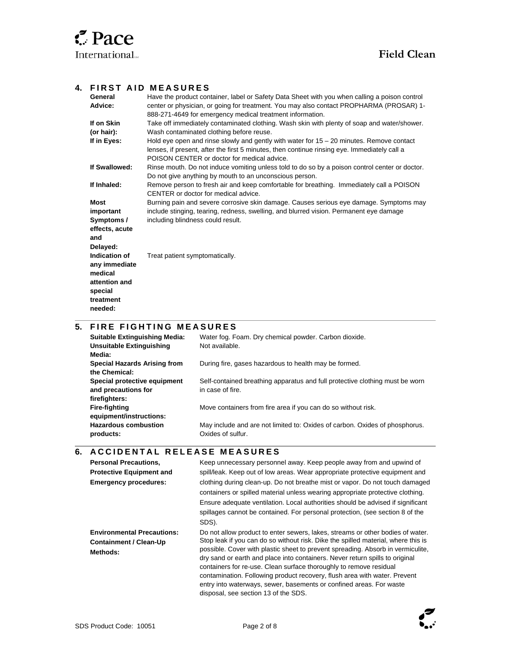### **4. FIRST AID MEASURES**

| General        | Have the product container, label or Safety Data Sheet with you when calling a poison control  |
|----------------|------------------------------------------------------------------------------------------------|
| Advice:        | center or physician, or going for treatment. You may also contact PROPHARMA (PROSAR) 1-        |
|                | 888-271-4649 for emergency medical treatment information.                                      |
| If on Skin     | Take off immediately contaminated clothing. Wash skin with plenty of soap and water/shower.    |
| (or hair):     | Wash contaminated clothing before reuse.                                                       |
| If in Eyes:    | Hold eye open and rinse slowly and gently with water for $15 - 20$ minutes. Remove contact     |
|                | lenses, if present, after the first 5 minutes, then continue rinsing eye. Immediately call a   |
|                | POISON CENTER or doctor for medical advice.                                                    |
| If Swallowed:  | Rinse mouth. Do not induce vomiting unless told to do so by a poison control center or doctor. |
|                | Do not give anything by mouth to an unconscious person.                                        |
| If Inhaled:    | Remove person to fresh air and keep comfortable for breathing. Immediately call a POISON       |
|                | CENTER or doctor for medical advice.                                                           |
| <b>Most</b>    | Burning pain and severe corrosive skin damage. Causes serious eye damage. Symptoms may         |
| important      | include stinging, tearing, redness, swelling, and blurred vision. Permanent eye damage         |
| Symptoms /     | including blindness could result.                                                              |
| effects, acute |                                                                                                |
| and            |                                                                                                |
| Delayed:       |                                                                                                |
| Indication of  | Treat patient symptomatically.                                                                 |
| any immediate  |                                                                                                |
| medical        |                                                                                                |
| attention and  |                                                                                                |
| special        |                                                                                                |
| treatment      |                                                                                                |
| needed:        |                                                                                                |
|                |                                                                                                |

### **5. FIRE FIGHTING MEASURES**

 $\overline{\phantom{a}}$ 

 $\overline{a}$ 

| <b>Suitable Extinguishing Media:</b><br><b>Unsuitable Extinguishing</b><br>Media: | Water fog. Foam. Dry chemical powder. Carbon dioxide.<br>Not available.                          |
|-----------------------------------------------------------------------------------|--------------------------------------------------------------------------------------------------|
| Special Hazards Arising from<br>the Chemical:                                     | During fire, gases hazardous to health may be formed.                                            |
| Special protective equipment<br>and precautions for<br>firefighters:              | Self-contained breathing apparatus and full protective clothing must be worn<br>in case of fire. |
| Fire-fighting<br>equipment/instructions:                                          | Move containers from fire area if you can do so without risk.                                    |
| <b>Hazardous combustion</b><br>products:                                          | May include and are not limited to: Oxides of carbon. Oxides of phosphorus.<br>Oxides of sulfur. |

### **6. ACCIDENTAL RELEASE MEASURES**

| <b>Personal Precautions,</b><br><b>Protective Equipment and</b><br><b>Emergency procedures:</b> | Keep unnecessary personnel away. Keep people away from and upwind of<br>spill/leak. Keep out of low areas. Wear appropriate protective equipment and<br>clothing during clean-up. Do not breathe mist or vapor. Do not touch damaged<br>containers or spilled material unless wearing appropriate protective clothing.<br>Ensure adequate ventilation. Local authorities should be advised if significant<br>spillages cannot be contained. For personal protection, (see section 8 of the                                                                                                               |
|-------------------------------------------------------------------------------------------------|----------------------------------------------------------------------------------------------------------------------------------------------------------------------------------------------------------------------------------------------------------------------------------------------------------------------------------------------------------------------------------------------------------------------------------------------------------------------------------------------------------------------------------------------------------------------------------------------------------|
|                                                                                                 | SDS).                                                                                                                                                                                                                                                                                                                                                                                                                                                                                                                                                                                                    |
| <b>Environmental Precautions:</b><br><b>Containment / Clean-Up</b><br>Methods:                  | Do not allow product to enter sewers, lakes, streams or other bodies of water.<br>Stop leak if you can do so without risk. Dike the spilled material, where this is<br>possible. Cover with plastic sheet to prevent spreading. Absorb in vermiculite,<br>dry sand or earth and place into containers. Never return spills to original<br>containers for re-use. Clean surface thoroughly to remove residual<br>contamination. Following product recovery, flush area with water. Prevent<br>entry into waterways, sewer, basements or confined areas. For waste<br>disposal, see section 13 of the SDS. |

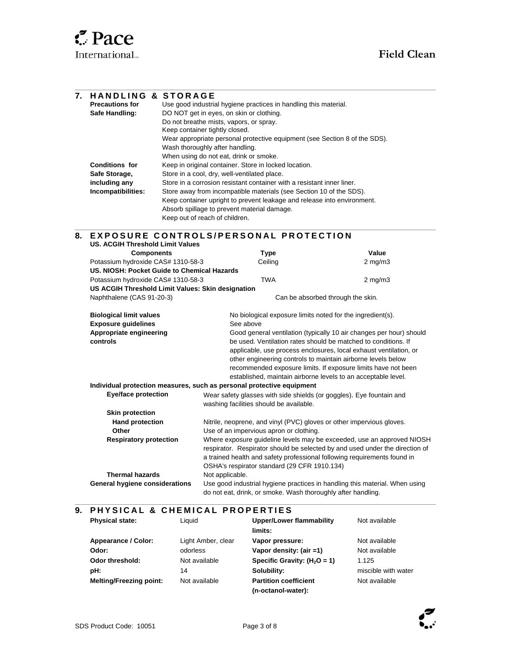l

| 7. | <b>HANDLING &amp; STORAGE</b>                                                                                                                                                             |                                                                                                                                                         |                                                                     |  |  |
|----|-------------------------------------------------------------------------------------------------------------------------------------------------------------------------------------------|---------------------------------------------------------------------------------------------------------------------------------------------------------|---------------------------------------------------------------------|--|--|
|    | <b>Precautions for</b>                                                                                                                                                                    | Use good industrial hygiene practices in handling this material.<br>DO NOT get in eyes, on skin or clothing.<br>Do not breathe mists, vapors, or spray. |                                                                     |  |  |
|    | Safe Handling:                                                                                                                                                                            |                                                                                                                                                         |                                                                     |  |  |
|    |                                                                                                                                                                                           |                                                                                                                                                         |                                                                     |  |  |
|    | Keep container tightly closed.<br>Wear appropriate personal protective equipment (see Section 8 of the SDS).<br>Wash thoroughly after handling.<br>When using do not eat, drink or smoke. |                                                                                                                                                         |                                                                     |  |  |
|    |                                                                                                                                                                                           |                                                                                                                                                         |                                                                     |  |  |
|    |                                                                                                                                                                                           |                                                                                                                                                         |                                                                     |  |  |
|    |                                                                                                                                                                                           |                                                                                                                                                         |                                                                     |  |  |
|    | <b>Conditions for</b>                                                                                                                                                                     | Keep in original container. Store in locked location.                                                                                                   |                                                                     |  |  |
|    | Safe Storage,                                                                                                                                                                             | Store in a cool, dry, well-ventilated place.                                                                                                            |                                                                     |  |  |
|    | including any                                                                                                                                                                             | Store in a corrosion resistant container with a resistant inner liner.                                                                                  |                                                                     |  |  |
|    | Incompatibilities:                                                                                                                                                                        | Store away from incompatible materials (see Section 10 of the SDS).                                                                                     |                                                                     |  |  |
|    |                                                                                                                                                                                           | Keep container upright to prevent leakage and release into environment.                                                                                 |                                                                     |  |  |
|    |                                                                                                                                                                                           | Absorb spillage to prevent material damage.                                                                                                             |                                                                     |  |  |
|    |                                                                                                                                                                                           | Keep out of reach of children.                                                                                                                          |                                                                     |  |  |
|    |                                                                                                                                                                                           |                                                                                                                                                         |                                                                     |  |  |
| 8. |                                                                                                                                                                                           | EXPOSURE CONTROLS/PERSONAL PROTECTION                                                                                                                   |                                                                     |  |  |
|    | <b>US. ACGIH Threshold Limit Values</b>                                                                                                                                                   |                                                                                                                                                         |                                                                     |  |  |
|    | <b>Components</b>                                                                                                                                                                         | <b>Type</b>                                                                                                                                             | Value                                                               |  |  |
|    | Potassium hydroxide CAS# 1310-58-3                                                                                                                                                        | Ceiling                                                                                                                                                 | $2$ mg/m $3$                                                        |  |  |
|    | US. NIOSH: Pocket Guide to Chemical Hazards                                                                                                                                               |                                                                                                                                                         |                                                                     |  |  |
|    | Potassium hydroxide CAS# 1310-58-3<br><b>TWA</b><br>$2$ mg/m $3$                                                                                                                          |                                                                                                                                                         |                                                                     |  |  |
|    | US ACGIH Threshold Limit Values: Skin designation                                                                                                                                         |                                                                                                                                                         |                                                                     |  |  |
|    | Naphthalene (CAS 91-20-3)<br>Can be absorbed through the skin.                                                                                                                            |                                                                                                                                                         |                                                                     |  |  |
|    | <b>Biological limit values</b>                                                                                                                                                            | No biological exposure limits noted for the ingredient(s).                                                                                              |                                                                     |  |  |
|    | <b>Exposure guidelines</b>                                                                                                                                                                | See above                                                                                                                                               |                                                                     |  |  |
|    | Appropriate engineering                                                                                                                                                                   |                                                                                                                                                         | Good general ventilation (typically 10 air changes per hour) should |  |  |
|    | controls                                                                                                                                                                                  |                                                                                                                                                         | be used. Ventilation rates should be matched to conditions. If      |  |  |
|    |                                                                                                                                                                                           |                                                                                                                                                         | applicable, use process enclosures, local exhaust ventilation, or   |  |  |
|    |                                                                                                                                                                                           | other engineering controls to maintain airborne levels below                                                                                            |                                                                     |  |  |
|    |                                                                                                                                                                                           |                                                                                                                                                         | recommended exposure limits. If exposure limits have not been       |  |  |
|    |                                                                                                                                                                                           | established, maintain airborne levels to an acceptable level.                                                                                           |                                                                     |  |  |
|    |                                                                                                                                                                                           | Individual protection measures, such as personal protective equipment                                                                                   |                                                                     |  |  |
|    | <b>Eye/face protection</b>                                                                                                                                                                | Wear safety glasses with side shields (or goggles). Eye fountain and                                                                                    |                                                                     |  |  |
|    |                                                                                                                                                                                           | washing facilities should be available.                                                                                                                 |                                                                     |  |  |
|    | <b>Skin protection</b>                                                                                                                                                                    |                                                                                                                                                         |                                                                     |  |  |
|    | <b>Hand protection</b>                                                                                                                                                                    | Nitrile, neoprene, and vinyl (PVC) gloves or other impervious gloves.                                                                                   |                                                                     |  |  |
|    | Other                                                                                                                                                                                     | Use of an impervious apron or clothing.                                                                                                                 |                                                                     |  |  |
|    | <b>Respiratory protection</b>                                                                                                                                                             | Where exposure guideline levels may be exceeded, use an approved NIOSH                                                                                  |                                                                     |  |  |
|    |                                                                                                                                                                                           | respirator. Respirator should be selected by and used under the direction of                                                                            |                                                                     |  |  |
|    |                                                                                                                                                                                           | a trained health and safety professional following requirements found in                                                                                |                                                                     |  |  |
|    |                                                                                                                                                                                           | OSHA's respirator standard (29 CFR 1910.134)                                                                                                            |                                                                     |  |  |
|    | <b>Thermal hazards</b>                                                                                                                                                                    | Not applicable.                                                                                                                                         |                                                                     |  |  |
|    | General hygiene considerations                                                                                                                                                            | Use good industrial hygiene practices in handling this material. When using                                                                             |                                                                     |  |  |
|    |                                                                                                                                                                                           | do not eat, drink, or smoke. Wash thoroughly after handling.                                                                                            |                                                                     |  |  |

### **9. P H Y S I C A L & C H E M I C A L P R O P E R T I E S**

| <b>Physical state:</b>         | Liquid             | Upper/Lower flammability       | Not available       |
|--------------------------------|--------------------|--------------------------------|---------------------|
|                                |                    | limits:                        |                     |
| Appearance / Color:            | Light Amber, clear | Vapor pressure:                | Not available       |
| Odor:                          | odorless           | Vapor density: (air =1)        | Not available       |
| Odor threshold:                | Not available      | Specific Gravity: $(H_2O = 1)$ | 1.125               |
| pH:                            | 14                 | Solubility:                    | miscible with water |
| <b>Melting/Freezing point:</b> | Not available      | <b>Partition coefficient</b>   | Not available       |
|                                |                    | (n-octanol-water):             |                     |



l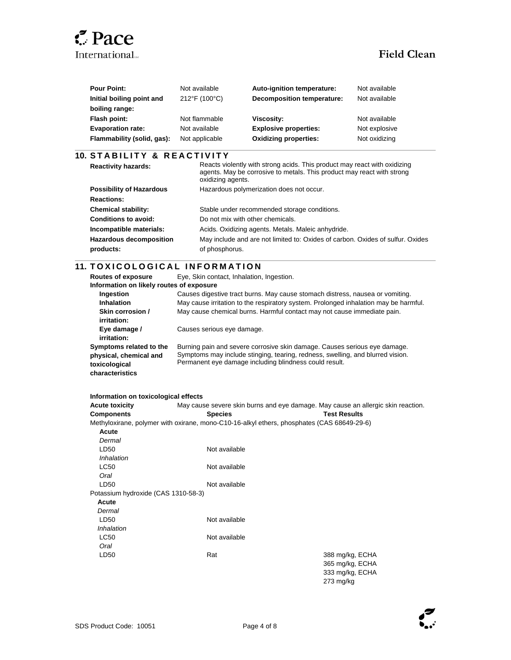## **Z** Pace International...<br>
Field Clean

l

l

| <b>Pour Point:</b>         | Not available  | Auto-ignition temperature:   | Not available |
|----------------------------|----------------|------------------------------|---------------|
| Initial boiling point and  | 212°F (100°C)  | Decomposition temperature:   | Not available |
| boiling range:             |                |                              |               |
| Flash point:               | Not flammable  | Viscosity:                   | Not available |
| <b>Evaporation rate:</b>   | Not available  | <b>Explosive properties:</b> | Not explosive |
| Flammability (solid, gas): | Not applicable | <b>Oxidizing properties:</b> | Not oxidizing |

### **10. S T A B I L I T Y & R E A C T I V I T Y**

| <b>Reactivity hazards:</b>      | Reacts violently with strong acids. This product may react with oxidizing<br>agents. May be corrosive to metals. This product may react with strong<br>oxidizing agents. |
|---------------------------------|--------------------------------------------------------------------------------------------------------------------------------------------------------------------------|
| <b>Possibility of Hazardous</b> | Hazardous polymerization does not occur.                                                                                                                                 |
| <b>Reactions:</b>               |                                                                                                                                                                          |
| <b>Chemical stability:</b>      | Stable under recommended storage conditions.                                                                                                                             |
| Conditions to avoid:            | Do not mix with other chemicals.                                                                                                                                         |
| Incompatible materials:         | Acids. Oxidizing agents. Metals. Maleic anhydride.                                                                                                                       |
| <b>Hazardous decomposition</b>  | May include and are not limited to: Oxides of carbon. Oxides of sulfur. Oxides                                                                                           |
| products:                       | of phosphorus.                                                                                                                                                           |

### **11. TOXICOLOGICAL INFORMATION**

| <b>Routes of exposure</b><br>Information on likely routes of exposure                 | Eye, Skin contact, Inhalation, Ingestion.                                                                                                                                                                             |
|---------------------------------------------------------------------------------------|-----------------------------------------------------------------------------------------------------------------------------------------------------------------------------------------------------------------------|
| Ingestion<br><b>Inhalation</b>                                                        | Causes digestive tract burns. May cause stomach distress, nausea or vomiting.<br>May cause irritation to the respiratory system. Prolonged inhalation may be harmful.                                                 |
| Skin corrosion /<br>irritation:                                                       | May cause chemical burns. Harmful contact may not cause immediate pain.                                                                                                                                               |
| Eye damage /<br>irritation:                                                           | Causes serious eye damage.                                                                                                                                                                                            |
| Symptoms related to the<br>physical, chemical and<br>toxicological<br>characteristics | Burning pain and severe corrosive skin damage. Causes serious eye damage.<br>Symptoms may include stinging, tearing, redness, swelling, and blurred vision.<br>Permanent eye damage including blindness could result. |

| Information on toxicological effects |                                                                                            |                     |  |
|--------------------------------------|--------------------------------------------------------------------------------------------|---------------------|--|
| <b>Acute toxicity</b>                | May cause severe skin burns and eye damage. May cause an allergic skin reaction.           |                     |  |
| <b>Components</b>                    | <b>Species</b>                                                                             | <b>Test Results</b> |  |
|                                      | Methyloxirane, polymer with oxirane, mono-C10-16-alkyl ethers, phosphates (CAS 68649-29-6) |                     |  |
| Acute                                |                                                                                            |                     |  |
| Dermal                               |                                                                                            |                     |  |
| LD50                                 | Not available                                                                              |                     |  |
| <i><b>Inhalation</b></i>             |                                                                                            |                     |  |
| <b>LC50</b>                          | Not available                                                                              |                     |  |
| Oral                                 |                                                                                            |                     |  |
| LD50                                 | Not available                                                                              |                     |  |
| Potassium hydroxide (CAS 1310-58-3)  |                                                                                            |                     |  |
| Acute                                |                                                                                            |                     |  |
| Dermal                               |                                                                                            |                     |  |
| LD50                                 | Not available                                                                              |                     |  |
| Inhalation                           |                                                                                            |                     |  |
| <b>LC50</b>                          | Not available                                                                              |                     |  |
| Oral                                 |                                                                                            |                     |  |
| LD50                                 | Rat                                                                                        | 388 mg/kg, ECHA     |  |
|                                      |                                                                                            | 365 mg/kg, ECHA     |  |
|                                      |                                                                                            | 333 mg/kg, ECHA     |  |
|                                      |                                                                                            | $273$ mg/kg         |  |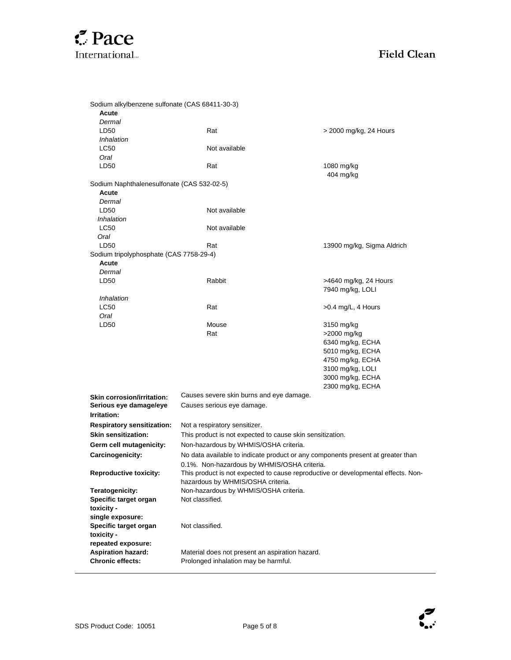

| Sodium alkylbenzene sulfonate (CAS 68411-30-3) |                                                                                                                        |                                           |
|------------------------------------------------|------------------------------------------------------------------------------------------------------------------------|-------------------------------------------|
| Acute                                          |                                                                                                                        |                                           |
| Dermal                                         |                                                                                                                        |                                           |
| LD50                                           | Rat                                                                                                                    | > 2000 mg/kg, 24 Hours                    |
| Inhalation                                     |                                                                                                                        |                                           |
| LC50                                           | Not available                                                                                                          |                                           |
| Oral<br>LD50                                   | Rat                                                                                                                    | 1080 mg/kg                                |
|                                                |                                                                                                                        | 404 mg/kg                                 |
| Sodium Naphthalenesulfonate (CAS 532-02-5)     |                                                                                                                        |                                           |
| Acute                                          |                                                                                                                        |                                           |
| Dermal                                         |                                                                                                                        |                                           |
| LD50                                           | Not available                                                                                                          |                                           |
| <i><b>Inhalation</b></i>                       |                                                                                                                        |                                           |
| LC50                                           | Not available                                                                                                          |                                           |
| Oral                                           |                                                                                                                        |                                           |
| LD50                                           | Rat                                                                                                                    | 13900 mg/kg, Sigma Aldrich                |
| Sodium tripolyphosphate (CAS 7758-29-4)        |                                                                                                                        |                                           |
| Acute<br>Dermal                                |                                                                                                                        |                                           |
| LD <sub>50</sub>                               | Rabbit                                                                                                                 |                                           |
|                                                |                                                                                                                        | >4640 mg/kg, 24 Hours<br>7940 mg/kg, LOLI |
| Inhalation                                     |                                                                                                                        |                                           |
| <b>LC50</b>                                    | Rat                                                                                                                    | $>0.4$ mg/L, 4 Hours                      |
| Oral                                           |                                                                                                                        |                                           |
| LD50                                           | Mouse                                                                                                                  | 3150 mg/kg                                |
|                                                | Rat                                                                                                                    | >2000 mg/kg                               |
|                                                |                                                                                                                        | 6340 mg/kg, ECHA                          |
|                                                |                                                                                                                        | 5010 mg/kg, ECHA                          |
|                                                |                                                                                                                        | 4750 mg/kg, ECHA                          |
|                                                |                                                                                                                        | 3100 mg/kg, LOLI                          |
|                                                |                                                                                                                        | 3000 mg/kg, ECHA                          |
|                                                |                                                                                                                        | 2300 mg/kg, ECHA                          |
| <b>Skin corrosion/irritation:</b>              | Causes severe skin burns and eye damage.                                                                               |                                           |
| Serious eye damage/eye                         | Causes serious eye damage.                                                                                             |                                           |
| Irritation:                                    |                                                                                                                        |                                           |
| <b>Respiratory sensitization:</b>              | Not a respiratory sensitizer.                                                                                          |                                           |
| <b>Skin sensitization:</b>                     | This product is not expected to cause skin sensitization.                                                              |                                           |
| Germ cell mutagenicity:                        | Non-hazardous by WHMIS/OSHA criteria.                                                                                  |                                           |
| Carcinogenicity:                               | No data available to indicate product or any components present at greater than                                        |                                           |
|                                                | 0.1%. Non-hazardous by WHMIS/OSHA criteria.                                                                            |                                           |
| <b>Reproductive toxicity:</b>                  | This product is not expected to cause reproductive or developmental effects. Non-<br>hazardous by WHMIS/OSHA criteria. |                                           |
| Teratogenicity:                                | Non-hazardous by WHMIS/OSHA criteria.                                                                                  |                                           |
| Specific target organ                          | Not classified.                                                                                                        |                                           |
| toxicity -                                     |                                                                                                                        |                                           |
| single exposure:                               |                                                                                                                        |                                           |
| Specific target organ                          | Not classified.                                                                                                        |                                           |
| toxicity -                                     |                                                                                                                        |                                           |
| repeated exposure:                             |                                                                                                                        |                                           |
| <b>Aspiration hazard:</b>                      | Material does not present an aspiration hazard.                                                                        |                                           |
| <b>Chronic effects:</b>                        | Prolonged inhalation may be harmful.                                                                                   |                                           |

 $\overline{a}$ 

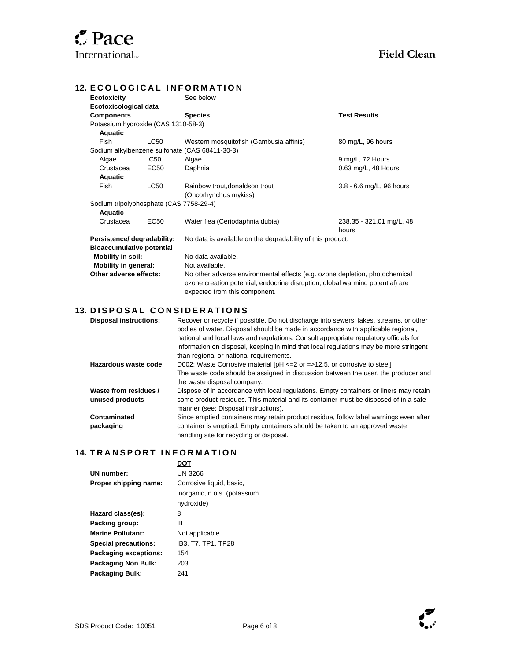l

### **12. ECOLOGICAL INFORMATION**

| <b>Ecotoxicity</b>                      |                                                                                           | See below                                                                                                                                                                                     |                            |
|-----------------------------------------|-------------------------------------------------------------------------------------------|-----------------------------------------------------------------------------------------------------------------------------------------------------------------------------------------------|----------------------------|
| Ecotoxicological data                   |                                                                                           |                                                                                                                                                                                               |                            |
| <b>Components</b>                       |                                                                                           | <b>Species</b>                                                                                                                                                                                | <b>Test Results</b>        |
| Potassium hydroxide (CAS 1310-58-3)     |                                                                                           |                                                                                                                                                                                               |                            |
| Aquatic                                 |                                                                                           |                                                                                                                                                                                               |                            |
| Fish                                    | <b>LC50</b>                                                                               | Western mosquitofish (Gambusia affinis)                                                                                                                                                       | 80 mg/L, 96 hours          |
|                                         |                                                                                           | Sodium alkylbenzene sulfonate (CAS 68411-30-3)                                                                                                                                                |                            |
| Algae                                   | IC <sub>50</sub>                                                                          | Algae                                                                                                                                                                                         | 9 mg/L, 72 Hours           |
| Crustacea                               | EC50                                                                                      | Daphnia                                                                                                                                                                                       | 0.63 mg/L, 48 Hours        |
| Aquatic                                 |                                                                                           |                                                                                                                                                                                               |                            |
| Fish                                    | <b>LC50</b>                                                                               | Rainbow trout, donaldson trout                                                                                                                                                                | $3.8 - 6.6$ mg/L, 96 hours |
|                                         |                                                                                           | (Oncorhynchus mykiss)                                                                                                                                                                         |                            |
| Sodium tripolyphosphate (CAS 7758-29-4) |                                                                                           |                                                                                                                                                                                               |                            |
| Aquatic                                 |                                                                                           |                                                                                                                                                                                               |                            |
| Crustacea                               | EC50                                                                                      | Water flea (Ceriodaphnia dubia)                                                                                                                                                               | 238.35 - 321.01 mg/L, 48   |
|                                         |                                                                                           |                                                                                                                                                                                               | hours                      |
|                                         | Persistence/ degradability:<br>No data is available on the degradability of this product. |                                                                                                                                                                                               |                            |
| <b>Bioaccumulative potential</b>        |                                                                                           |                                                                                                                                                                                               |                            |
| Mobility in soil:                       |                                                                                           | No data available.                                                                                                                                                                            |                            |
| <b>Mobility in general:</b>             |                                                                                           | Not available.                                                                                                                                                                                |                            |
| Other adverse effects:                  |                                                                                           | No other adverse environmental effects (e.g. ozone depletion, photochemical<br>ozone creation potential, endocrine disruption, global warming potential) are<br>expected from this component. |                            |

### **13. DISPOSAL CONSIDERATIONS**

| <b>Disposal instructions:</b>            | Recover or recycle if possible. Do not discharge into sewers, lakes, streams, or other<br>bodies of water. Disposal should be made in accordance with applicable regional,<br>national and local laws and regulations. Consult appropriate regulatory officials for<br>information on disposal, keeping in mind that local regulations may be more stringent<br>than regional or national requirements. |
|------------------------------------------|---------------------------------------------------------------------------------------------------------------------------------------------------------------------------------------------------------------------------------------------------------------------------------------------------------------------------------------------------------------------------------------------------------|
| Hazardous waste code                     | D002: Waste Corrosive material $[PH \le 2$ or $= >12.5$ , or corrosive to steel<br>The waste code should be assigned in discussion between the user, the producer and<br>the waste disposal company.                                                                                                                                                                                                    |
| Waste from residues /<br>unused products | Dispose of in accordance with local regulations. Empty containers or liners may retain<br>some product residues. This material and its container must be disposed of in a safe<br>manner (see: Disposal instructions).                                                                                                                                                                                  |
| Contaminated<br>packaging                | Since emptied containers may retain product residue, follow label warnings even after<br>container is emptied. Empty containers should be taken to an approved waste<br>handling site for recycling or disposal.                                                                                                                                                                                        |

### $\overline{\phantom{a}}$ **14. T R A N S P O R T I N F O R M A T I O N**

| ־חח                          |  |  |
|------------------------------|--|--|
| UN 3266                      |  |  |
| Corrosive liquid, basic,     |  |  |
| inorganic, n.o.s. (potassium |  |  |
| hydroxide)                   |  |  |
| 8                            |  |  |
| Ш                            |  |  |
| Not applicable               |  |  |
| IB3. T7. TP1. TP28           |  |  |
| 154                          |  |  |
| 203                          |  |  |
| 241                          |  |  |
|                              |  |  |



l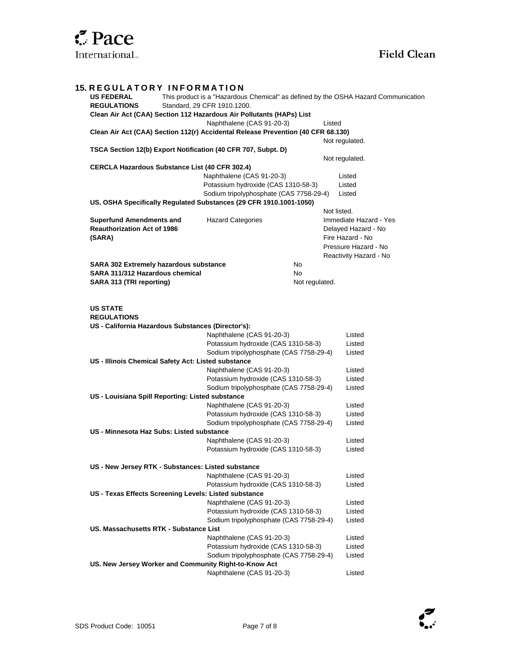| <b>15. REGULATORY INFORMATION</b>                                                                       |                                                                  |                |                                          |  |  |  |
|---------------------------------------------------------------------------------------------------------|------------------------------------------------------------------|----------------|------------------------------------------|--|--|--|
| <b>US FEDERAL</b><br>This product is a "Hazardous Chemical" as defined by the OSHA Hazard Communication |                                                                  |                |                                          |  |  |  |
| <b>REGULATIONS</b><br>Standard, 29 CFR 1910.1200.                                                       |                                                                  |                |                                          |  |  |  |
| Clean Air Act (CAA) Section 112 Hazardous Air Pollutants (HAPs) List                                    |                                                                  |                |                                          |  |  |  |
|                                                                                                         | Naphthalene (CAS 91-20-3)                                        |                | Listed                                   |  |  |  |
| Clean Air Act (CAA) Section 112(r) Accidental Release Prevention (40 CFR 68.130)                        |                                                                  |                |                                          |  |  |  |
|                                                                                                         |                                                                  |                | Not regulated.                           |  |  |  |
| TSCA Section 12(b) Export Notification (40 CFR 707, Subpt. D)                                           |                                                                  |                |                                          |  |  |  |
|                                                                                                         |                                                                  |                | Not regulated.                           |  |  |  |
| <b>CERCLA Hazardous Substance List (40 CFR 302.4)</b>                                                   |                                                                  |                |                                          |  |  |  |
|                                                                                                         | Naphthalene (CAS 91-20-3)                                        |                | Listed                                   |  |  |  |
|                                                                                                         | Potassium hydroxide (CAS 1310-58-3)                              |                | Listed                                   |  |  |  |
|                                                                                                         | Sodium tripolyphosphate (CAS 7758-29-4)                          |                | Listed                                   |  |  |  |
| US. OSHA Specifically Regulated Substances (29 CFR 1910.1001-1050)                                      |                                                                  |                |                                          |  |  |  |
|                                                                                                         |                                                                  |                | Not listed.                              |  |  |  |
| <b>Superfund Amendments and</b>                                                                         | <b>Hazard Categories</b>                                         |                | Immediate Hazard - Yes                   |  |  |  |
| <b>Reauthorization Act of 1986</b>                                                                      |                                                                  |                | Delayed Hazard - No                      |  |  |  |
| (SARA)                                                                                                  |                                                                  |                | Fire Hazard - No<br>Pressure Hazard - No |  |  |  |
|                                                                                                         |                                                                  |                | Reactivity Hazard - No                   |  |  |  |
| SARA 302 Extremely hazardous substance                                                                  | <b>No</b>                                                        |                |                                          |  |  |  |
| SARA 311/312 Hazardous chemical                                                                         | <b>No</b>                                                        |                |                                          |  |  |  |
| SARA 313 (TRI reporting)                                                                                |                                                                  | Not regulated. |                                          |  |  |  |
|                                                                                                         |                                                                  |                |                                          |  |  |  |
| <b>US STATE</b><br><b>REGULATIONS</b><br>US - California Hazardous Substances (Director's):             |                                                                  |                |                                          |  |  |  |
|                                                                                                         | Naphthalene (CAS 91-20-3)                                        |                | Listed                                   |  |  |  |
| Potassium hydroxide (CAS 1310-58-3)                                                                     |                                                                  |                | Listed                                   |  |  |  |
|                                                                                                         | Sodium tripolyphosphate (CAS 7758-29-4)                          |                | Listed                                   |  |  |  |
| US - Illinois Chemical Safety Act: Listed substance                                                     |                                                                  |                |                                          |  |  |  |
|                                                                                                         | Naphthalene (CAS 91-20-3)<br>Potassium hydroxide (CAS 1310-58-3) |                | Listed<br>Listed                         |  |  |  |
|                                                                                                         | Sodium tripolyphosphate (CAS 7758-29-4)                          |                | Listed                                   |  |  |  |
| US - Louisiana Spill Reporting: Listed substance                                                        |                                                                  |                |                                          |  |  |  |
|                                                                                                         | Naphthalene (CAS 91-20-3)                                        |                | Listed                                   |  |  |  |
|                                                                                                         | Potassium hydroxide (CAS 1310-58-3)                              |                | Listed                                   |  |  |  |
|                                                                                                         | Sodium tripolyphosphate (CAS 7758-29-4)                          |                | Listed                                   |  |  |  |
| US - Minnesota Haz Subs: Listed substance                                                               |                                                                  |                |                                          |  |  |  |
| Naphthalene (CAS 91-20-3)                                                                               |                                                                  |                | Listed                                   |  |  |  |
| Potassium hydroxide (CAS 1310-58-3)                                                                     |                                                                  |                | Listed                                   |  |  |  |
|                                                                                                         |                                                                  |                |                                          |  |  |  |
| US - New Jersey RTK - Substances: Listed substance                                                      |                                                                  |                |                                          |  |  |  |
|                                                                                                         | Naphthalene (CAS 91-20-3)                                        |                | Listed                                   |  |  |  |
|                                                                                                         | Potassium hydroxide (CAS 1310-58-3)                              |                | Listed                                   |  |  |  |
| US - Texas Effects Screening Levels: Listed substance                                                   |                                                                  |                |                                          |  |  |  |
|                                                                                                         | Naphthalene (CAS 91-20-3)                                        |                | Listed                                   |  |  |  |
|                                                                                                         | Potassium hydroxide (CAS 1310-58-3)                              |                | Listed                                   |  |  |  |
|                                                                                                         | Sodium tripolyphosphate (CAS 7758-29-4)                          |                | Listed                                   |  |  |  |
| US. Massachusetts RTK - Substance List                                                                  |                                                                  |                |                                          |  |  |  |
|                                                                                                         | Naphthalene (CAS 91-20-3)                                        |                | Listed                                   |  |  |  |
|                                                                                                         | Potassium hydroxide (CAS 1310-58-3)                              |                | Listed                                   |  |  |  |
| Sodium tripolyphosphate (CAS 7758-29-4)<br>Listed                                                       |                                                                  |                |                                          |  |  |  |
| US. New Jersey Worker and Community Right-to-Know Act                                                   |                                                                  |                |                                          |  |  |  |
|                                                                                                         | Naphthalene (CAS 91-20-3)                                        |                | Listed                                   |  |  |  |